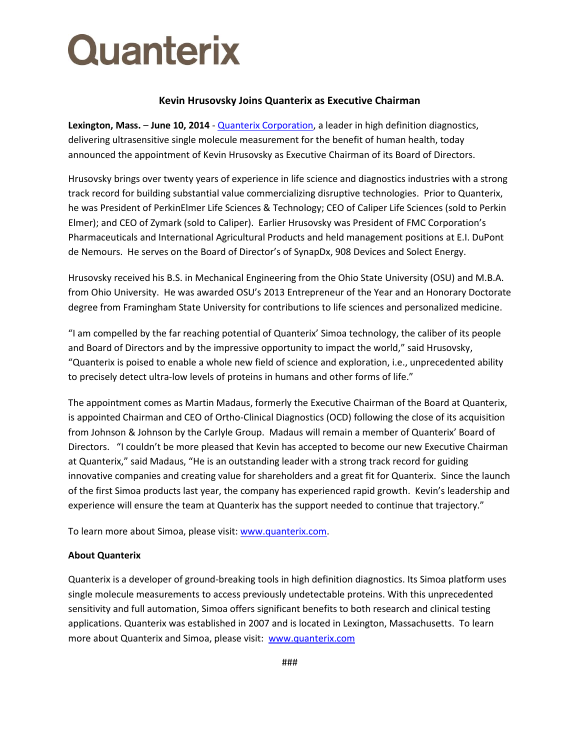## Quanterix

## **Kevin Hrusovsky Joins Quanterix as Executive Chairman**

**Lexington, Mass.** – **June 10, 2014** - [Quanterix Corporation,](http://www.quanterix.com/) a leader in high definition diagnostics, delivering ultrasensitive single molecule measurement for the benefit of human health, today announced the appointment of Kevin Hrusovsky as Executive Chairman of its Board of Directors.

Hrusovsky brings over twenty years of experience in life science and diagnostics industries with a strong track record for building substantial value commercializing disruptive technologies. Prior to Quanterix, he was President of PerkinElmer Life Sciences & Technology; CEO of Caliper Life Sciences (sold to Perkin Elmer); and CEO of Zymark (sold to Caliper). Earlier Hrusovsky was President of FMC Corporation's Pharmaceuticals and International Agricultural Products and held management positions at E.I. DuPont de Nemours. He serves on the Board of Director's of SynapDx, 908 Devices and Solect Energy.

Hrusovsky received his B.S. in Mechanical Engineering from the Ohio State University (OSU) and M.B.A. from Ohio University. He was awarded OSU's 2013 Entrepreneur of the Year and an Honorary Doctorate degree from Framingham State University for contributions to life sciences and personalized medicine.

"I am compelled by the far reaching potential of Quanterix' Simoa technology, the caliber of its people and Board of Directors and by the impressive opportunity to impact the world," said Hrusovsky, "Quanterix is poised to enable a whole new field of science and exploration, i.e., unprecedented ability to precisely detect ultra-low levels of proteins in humans and other forms of life."

The appointment comes as Martin Madaus, formerly the Executive Chairman of the Board at Quanterix, is appointed Chairman and CEO of Ortho-Clinical Diagnostics (OCD) following the close of its acquisition from Johnson & Johnson by the Carlyle Group. Madaus will remain a member of Quanterix' Board of Directors. "I couldn't be more pleased that Kevin has accepted to become our new Executive Chairman at Quanterix," said Madaus, "He is an outstanding leader with a strong track record for guiding innovative companies and creating value for shareholders and a great fit for Quanterix. Since the launch of the first Simoa products last year, the company has experienced rapid growth. Kevin's leadership and experience will ensure the team at Quanterix has the support needed to continue that trajectory."

To learn more about Simoa, please visit[: www.quanterix.com.](http://www.quanterix.com/)

## **About Quanterix**

Quanterix is a developer of ground-breaking tools in high definition diagnostics. Its Simoa platform uses single molecule measurements to access previously undetectable proteins. With this unprecedented sensitivity and full automation, Simoa offers significant benefits to both research and clinical testing applications. Quanterix was established in 2007 and is located in Lexington, Massachusetts. To learn more about Quanterix and Simoa, please visit: [www.quanterix.com](http://www.quanterix.com/)